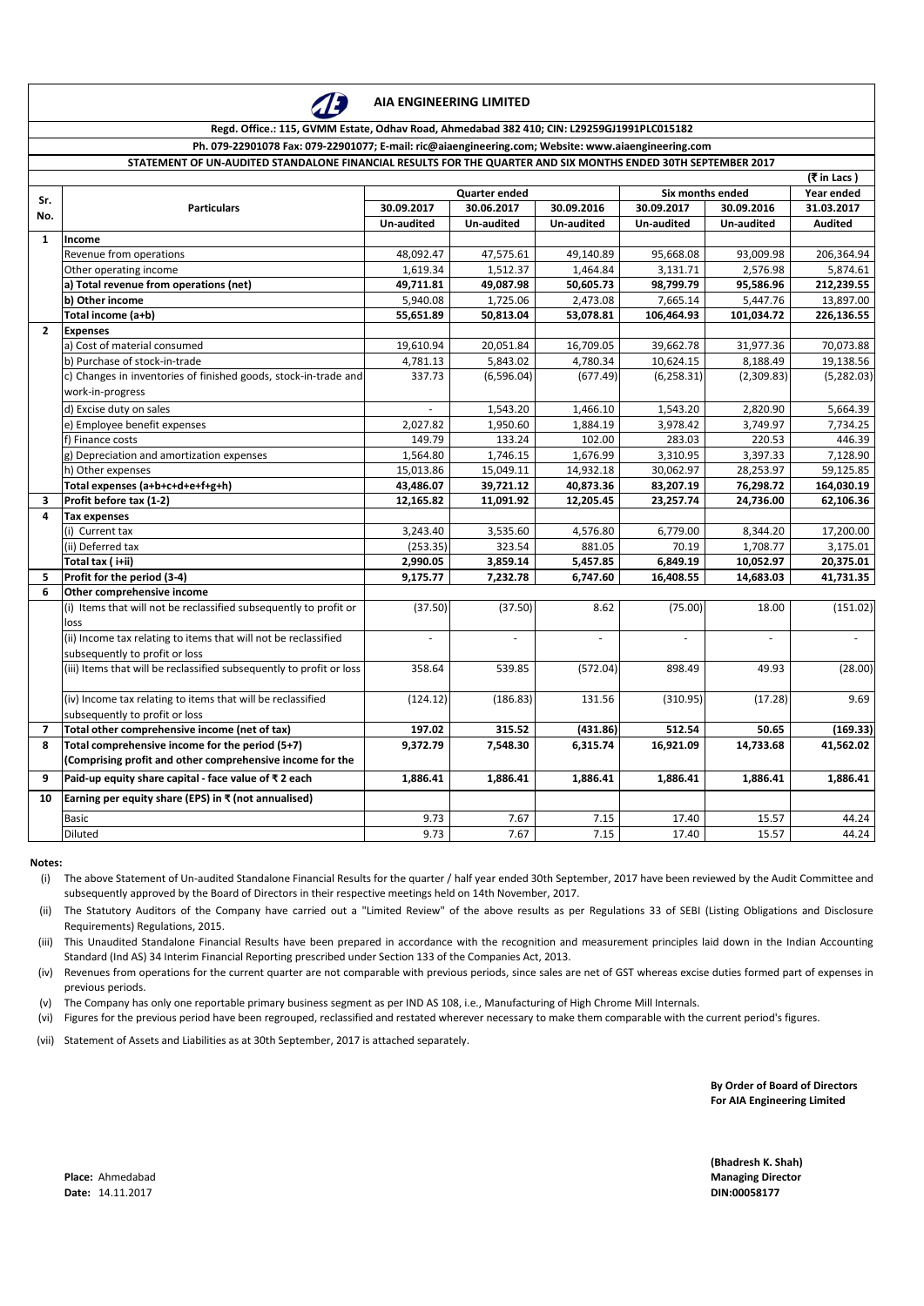**(Bhadresh K. Shah) Place:** Ahmedabad **Managing Director Managing Director Managing Director Managing Director** 

|                         | (₹ in Lacs)                                                          |                          |                   |                          |                          |                   |                |
|-------------------------|----------------------------------------------------------------------|--------------------------|-------------------|--------------------------|--------------------------|-------------------|----------------|
| Sr.                     | <b>Particulars</b>                                                   | <b>Quarter ended</b>     |                   |                          | Six months ended         | Year ended        |                |
| No.                     |                                                                      | 30.09.2017               | 30.06.2017        | 30.09.2016               | 30.09.2017               | 30.09.2016        | 31.03.2017     |
|                         |                                                                      | <b>Un-audited</b>        | <b>Un-audited</b> | <b>Un-audited</b>        | <b>Un-audited</b>        | <b>Un-audited</b> | <b>Audited</b> |
| $\mathbf{1}$            | <b>Income</b>                                                        |                          |                   |                          |                          |                   |                |
|                         | Revenue from operations                                              | 48,092.47                | 47,575.61         | 49,140.89                | 95,668.08                | 93,009.98         | 206,364.94     |
|                         | Other operating income                                               | 1,619.34                 | 1,512.37          | 1,464.84                 | 3,131.71                 | 2,576.98          | 5,874.61       |
|                         | a) Total revenue from operations (net)                               | 49,711.81                | 49,087.98         | 50,605.73                | 98,799.79                | 95,586.96         | 212,239.55     |
|                         | b) Other income                                                      | 5,940.08                 | 1,725.06          | 2,473.08                 | 7,665.14                 | 5,447.76          | 13,897.00      |
|                         | Total income (a+b)                                                   | 55,651.89                | 50,813.04         | 53,078.81                | 106,464.93               | 101,034.72        | 226,136.55     |
| $\mathbf{2}$            | <b>Expenses</b>                                                      |                          |                   |                          |                          |                   |                |
|                         | a) Cost of material consumed                                         | 19,610.94                | 20,051.84         | 16,709.05                | 39,662.78                | 31,977.36         | 70,073.88      |
|                         | b) Purchase of stock-in-trade                                        | 4,781.13                 | 5,843.02          | 4,780.34                 | 10,624.15                | 8,188.49          | 19,138.56      |
|                         | c) Changes in inventories of finished goods, stock-in-trade and      | 337.73                   | (6,596.04)        | (677.49)                 | (6, 258.31)              | (2,309.83)        | (5,282.03)     |
|                         | work-in-progress                                                     |                          |                   |                          |                          |                   |                |
|                         | d) Excise duty on sales                                              |                          | 1,543.20          | 1,466.10                 | 1,543.20                 | 2,820.90          | 5,664.39       |
|                         | e) Employee benefit expenses                                         | 2,027.82                 | 1,950.60          | 1,884.19                 | 3,978.42                 | 3,749.97          | 7,734.25       |
|                         | f) Finance costs                                                     | 149.79                   | 133.24            | 102.00                   | 283.03                   | 220.53            | 446.39         |
|                         | g) Depreciation and amortization expenses                            | 1,564.80                 | 1,746.15          | 1,676.99                 | 3,310.95                 | 3,397.33          | 7,128.90       |
|                         | h) Other expenses                                                    | 15,013.86                | 15,049.11         | 14,932.18                | 30,062.97                | 28,253.97         | 59,125.85      |
|                         | Total expenses (a+b+c+d+e+f+g+h)                                     | 43,486.07                | 39,721.12         | 40,873.36                | 83,207.19                | 76,298.72         | 164,030.19     |
| $\mathbf{3}$            | Profit before tax (1-2)                                              | 12,165.82                | 11,091.92         | 12,205.45                | 23,257.74                | 24,736.00         | 62,106.36      |
| 4                       | <b>Tax expenses</b>                                                  |                          |                   |                          |                          |                   |                |
|                         | (i) Current tax                                                      | 3,243.40                 | 3,535.60          | 4,576.80                 | 6,779.00                 | 8,344.20          | 17,200.00      |
|                         | (ii) Deferred tax                                                    | (253.35)                 | 323.54            | 881.05                   | 70.19                    | 1,708.77          | 3,175.01       |
|                         | Total tax (i+ii)                                                     | 2,990.05                 | 3,859.14          | 5,457.85                 | 6,849.19                 | 10,052.97         | 20,375.01      |
| 5.                      | Profit for the period (3-4)                                          | 9,175.77                 | 7,232.78          | 6,747.60                 | 16,408.55                | 14,683.03         | 41,731.35      |
| 6                       | Other comprehensive income                                           |                          |                   |                          |                          |                   |                |
|                         | (i) Items that will not be reclassified subsequently to profit or    | (37.50)                  | (37.50)           | 8.62                     | (75.00)                  | 18.00             | (151.02)       |
|                         | loss                                                                 |                          |                   |                          |                          |                   |                |
|                         | (ii) Income tax relating to items that will not be reclassified      | $\overline{\phantom{a}}$ |                   | $\overline{\phantom{a}}$ | $\overline{\phantom{a}}$ |                   |                |
|                         | subsequently to profit or loss                                       |                          |                   |                          |                          |                   |                |
|                         | (iii) Items that will be reclassified subsequently to profit or loss | 358.64                   | 539.85            | (572.04)                 | 898.49                   | 49.93             | (28.00)        |
|                         |                                                                      |                          |                   |                          |                          |                   |                |
|                         | (iv) Income tax relating to items that will be reclassified          | (124.12)                 | (186.83)          | 131.56                   | (310.95)                 | (17.28)           | 9.69           |
|                         | subsequently to profit or loss                                       |                          |                   |                          |                          |                   |                |
| $\overline{\mathbf{z}}$ | Total other comprehensive income (net of tax)                        | 197.02                   | 315.52            | (431.86)                 | 512.54                   | 50.65             | (169.33)       |
| 8                       | Total comprehensive income for the period (5+7)                      | 9,372.79                 | 7,548.30          | 6,315.74                 | 16,921.09                | 14,733.68         | 41,562.02      |
|                         | (Comprising profit and other comprehensive income for the            |                          |                   |                          |                          |                   |                |
| 9                       | Paid-up equity share capital - face value of $\bar{x}$ 2 each        | 1,886.41                 | 1,886.41          | 1,886.41                 | 1,886.41                 | 1,886.41          | 1,886.41       |
| 10                      | Earning per equity share (EPS) in $\bar{x}$ (not annualised)         |                          |                   |                          |                          |                   |                |
|                         | <b>Basic</b>                                                         | 9.73                     | 7.67              | 7.15                     | 17.40                    | 15.57             | 44.24          |
|                         | Diluted                                                              | 9.73                     | 7.67              | 7.15                     | 17.40                    | 15.57             | 44.24          |

#### **Notes:**

**Date:** 14.11.2017 **DIN:00058177**

**By Order of Board of Directors For AIA Engineering Limited**

- (i) The above Statement of Un-audited Standalone Financial Results for the quarter / half year ended 30th September, 2017 have been reviewed by the Audit Committee and subsequently approved by the Board of Directors in their respective meetings held on 14th November, 2017.
- (ii) The Statutory Auditors of the Company have carried out a "Limited Review" of the above results as per Regulations 33 of SEBI (Listing Obligations and Disclosure Requirements) Regulations, 2015.
- (iii) This Unaudited Standalone Financial Results have been prepared in accordance with the recognition and measurement principles laid down in the Indian Accounting Standard (Ind AS) 34 Interim Financial Reporting prescribed under Section 133 of the Companies Act, 2013.
- (iv) Revenues from operations for the current quarter are not comparable with previous periods, since sales are net of GST whereas excise duties formed part of expenses in previous periods.
- (v) The Company has only one reportable primary business segment as per IND AS 108, i.e., Manufacturing of High Chrome Mill Internals.
- (vi) Figures for the previous period have been regrouped, reclassified and restated wherever necessary to make them comparable with the current period's figures.
- (vii) Statement of Assets and Liabilities as at 30th September, 2017 is attached separately.



### **AIA ENGINEERING LIMITED**

### **Regd. Office.: 115, GVMM Estate, Odhav Road, Ahmedabad 382 410; CIN: L29259GJ1991PLC015182**

### **Ph. 079-22901078 Fax: 079-22901077; E-mail: ric@aiaengineering.com; Website: www.aiaengineering.com**

### **STATEMENT OF UN-AUDITED STANDALONE FINANCIAL RESULTS FOR THE QUARTER AND SIX MONTHS ENDED 30TH SEPTEMBER 2017**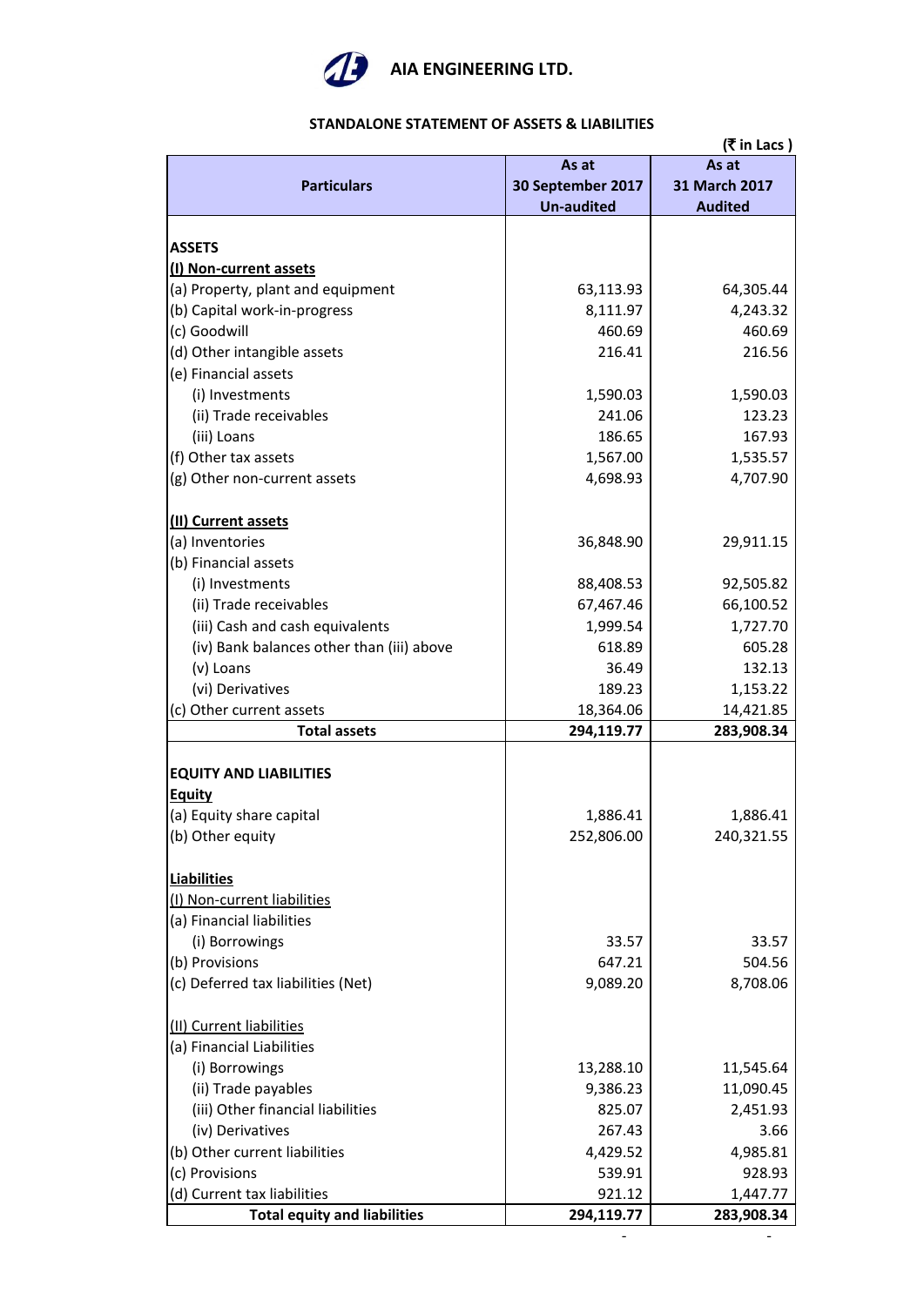

## **(**` **in Lacs ) Particulars As at 30 September 2017 Un-audited As at 31 March 2017 Audited ASSETS (I) Non-current assets** (a) Property, plant and equipment  $\begin{array}{ccc} \hline \end{array}$  63,113.93 64,305.44 (b) Capital work-in-progress  $\begin{array}{ccc} \hline \end{array}$  8,111.97  $\begin{array}{ccc} \hline \end{array}$  4,243.32 (c) Goodwill 460.69 460.69 (d) Other intangible assets 216.41 216.56 (e) Financial assets (i) Investments  $1,590.03$   $1,590.03$   $1,590.03$ (ii) Trade receivables 241.06 241.06 123.23 (iii) Loans 186.65 167.93 (f) Other tax assets  $1,567.00$  |  $1,535.57$ (g) Other non-current assets  $\begin{array}{ccc} 4,698.93 & 4,707.90 \\ 4,698.93 & 4,707.90 \end{array}$ **(II) Current assets** (a) Inventories 29,911.15 (b) Financial assets (i) Investments 68,408.53 92,505.82 (ii) Trade receivables  $67,467.46$  66,100.52 (iii) Cash and cash equivalents  $1,999.54$   $1,727.70$ (iv) Bank balances other than (iii) above  $\overline{618.89}$  618.89 605.28 (v) Loans 132.13 (vi) Derivatives 1,153.22 1,153.22 (c) Other current assets  $\begin{array}{ccc} 18,364.06 \end{array}$  18,364.06 14,421.85 **Total assets 294,119.77 283,908.34 EQUITY AND LIABILITIES Equity** (a) Equity share capital  $\begin{array}{ccc} 1,886.41 & 1,886.41 \end{array}$ (b) Other equity 252,806.00 240,321.55 **Liabilities** (I) Non-current liabilities (a) Financial liabilities (i) Borrowings  $\overline{33.57}$  33.57 (b) Provisions 504.56 (c) Deferred tax liabilities (Net)  $\begin{array}{ccc} | & 9,089.20 \\ \end{array}$  8,708.06 (II) Current liabilities (a) Financial Liabilities (i) Borrowings 13,288.10 11,545.64 (ii) Trade payables  $9,386.23$   $11,090.45$ (iii) Other financial liabilities 825.07 2,451.93 (iv) Derivatives  $\begin{array}{ccc} 3.66 \end{array}$ (b) Other current liabilities  $\begin{array}{ccc} 4,429.52 & 4,985.81 \end{array}$ (c) Provisions 628.93  $\vert$  539.91 928.93 (d) Current tax liabilities  $921.12$  1,447.77 **Total equity and liabilities 294,119.77 283,908.34**

- -

### **STANDALONE STATEMENT OF ASSETS & LIABILITIES**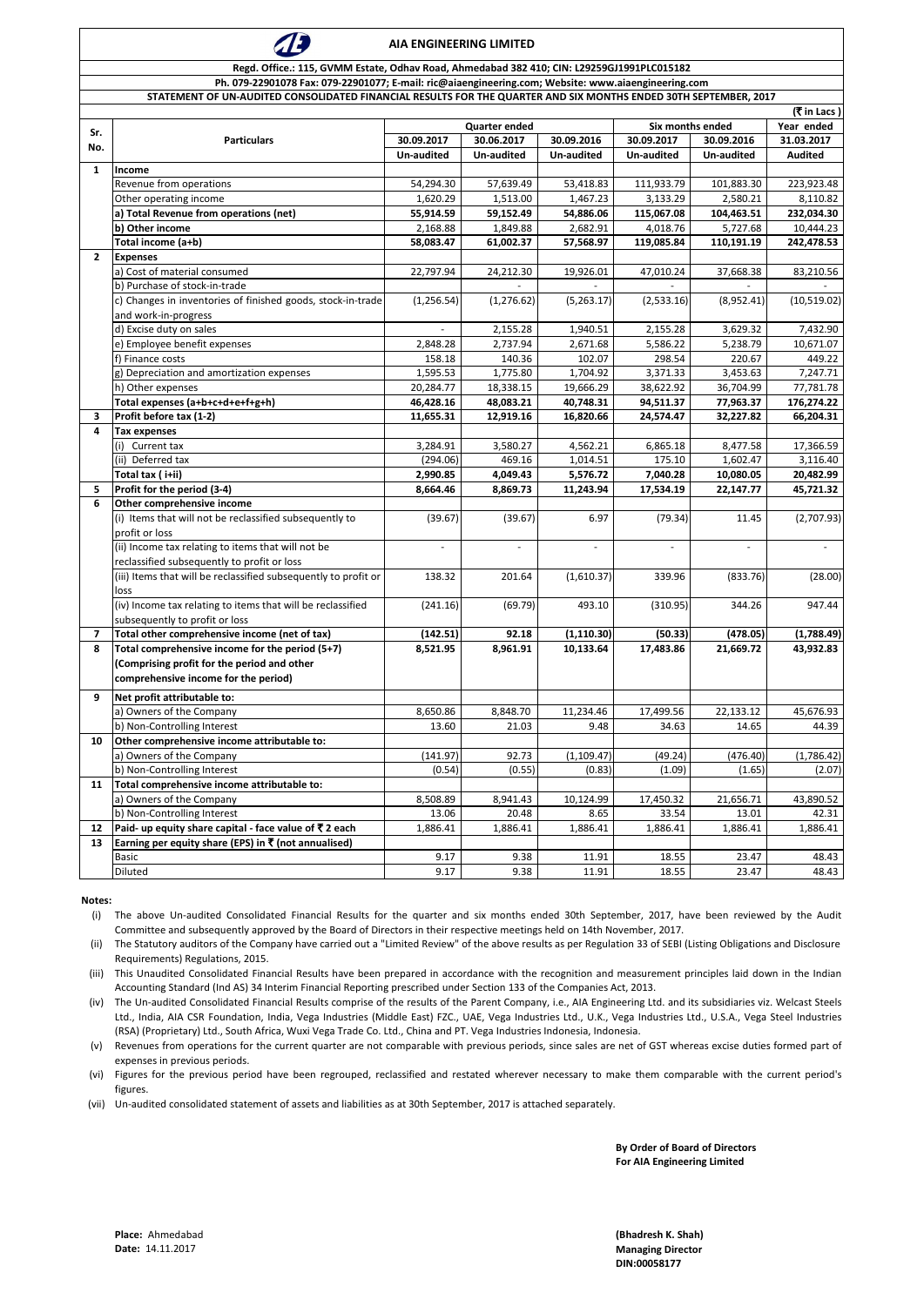| (₹ in Lacs)  |                                                                 |                      |                   |                   |                  |                   |                |
|--------------|-----------------------------------------------------------------|----------------------|-------------------|-------------------|------------------|-------------------|----------------|
| Sr.          | <b>Particulars</b>                                              | <b>Quarter ended</b> |                   |                   | Six months ended | Year ended        |                |
| No.          |                                                                 | 30.09.2017           | 30.06.2017        | 30.09.2016        | 30.09.2017       | 30.09.2016        | 31.03.2017     |
|              |                                                                 | <b>Un-audited</b>    | <b>Un-audited</b> | <b>Un-audited</b> | Un-audited       | <b>Un-audited</b> | <b>Audited</b> |
| $\mathbf{1}$ | <b>Income</b>                                                   |                      |                   |                   |                  |                   |                |
|              | Revenue from operations                                         | 54,294.30            | 57,639.49         | 53,418.83         | 111,933.79       | 101,883.30        | 223,923.48     |
|              | Other operating income                                          | 1,620.29             | 1,513.00          | 1,467.23          | 3,133.29         | 2,580.21          | 8,110.82       |
|              | a) Total Revenue from operations (net)                          | 55,914.59            | 59,152.49         | 54,886.06         | 115,067.08       | 104,463.51        | 232,034.30     |
|              | b) Other income                                                 | 2,168.88             | 1,849.88          | 2,682.91          | 4,018.76         | 5,727.68          | 10,444.23      |
|              | Total income (a+b)                                              | 58,083.47            | 61,002.37         | 57,568.97         | 119,085.84       | 110,191.19        | 242,478.53     |
| $2^{\circ}$  | <b>Expenses</b>                                                 |                      |                   |                   |                  |                   |                |
|              | a) Cost of material consumed                                    | 22,797.94            | 24,212.30         | 19,926.01         | 47,010.24        | 37,668.38         | 83,210.56      |
|              | b) Purchase of stock-in-trade                                   |                      |                   |                   |                  |                   |                |
|              | c) Changes in inventories of finished goods, stock-in-trade     | (1, 256.54)          | (1, 276.62)       | (5,263.17)        | (2,533.16)       | (8,952.41)        | (10,519.02)    |
|              | and work-in-progress                                            |                      |                   |                   |                  |                   |                |
|              | d) Excise duty on sales                                         |                      | 2,155.28          | 1,940.51          | 2,155.28         | 3,629.32          | 7,432.90       |
|              | e) Employee benefit expenses                                    | 2,848.28             | 2,737.94          | 2,671.68          | 5,586.22         | 5,238.79          | 10,671.07      |
|              | f) Finance costs                                                | 158.18               | 140.36            | 102.07            | 298.54           | 220.67            | 449.22         |
|              | g) Depreciation and amortization expenses                       | 1,595.53             | 1,775.80          | 1,704.92          | 3,371.33         | 3,453.63          | 7,247.71       |
|              | h) Other expenses                                               | 20,284.77            | 18,338.15         | 19,666.29         | 38,622.92        | 36,704.99         | 77,781.78      |
|              | Total expenses (a+b+c+d+e+f+g+h)                                | 46,428.16            | 48,083.21         | 40,748.31         | 94,511.37        | 77,963.37         | 176,274.22     |
| 3            | Profit before tax (1-2)                                         | 11,655.31            | 12,919.16         | 16,820.66         | 24,574.47        | 32,227.82         | 66,204.31      |
| 4            | <b>Tax expenses</b>                                             |                      |                   |                   |                  |                   |                |
|              | Current tax                                                     | 3,284.91             | 3,580.27          | 4,562.21          | 6,865.18         | 8,477.58          | 17,366.59      |
|              | (ii) Deferred tax                                               | (294.06)             | 469.16            | 1,014.51          | 175.10           | 1,602.47          | 3,116.40       |
|              | Total tax (i+ii)                                                | 2,990.85             | 4,049.43          | 5,576.72          | 7,040.28         | 10,080.05         | 20,482.99      |
| 5            | Profit for the period (3-4)                                     | 8,664.46             | 8,869.73          | 11,243.94         | 17,534.19        | 22,147.77         | 45,721.32      |
| 6            | Other comprehensive income                                      |                      |                   |                   |                  |                   |                |
|              | (i) Items that will not be reclassified subsequently to         | (39.67)              | (39.67)           | 6.97              | (79.34)          | 11.45             | (2,707.93)     |
|              | profit or loss                                                  |                      |                   |                   |                  |                   |                |
|              | (ii) Income tax relating to items that will not be              |                      |                   |                   |                  |                   |                |
|              | reclassified subsequently to profit or loss                     |                      |                   |                   |                  |                   |                |
|              | (iii) Items that will be reclassified subsequently to profit or | 138.32               | 201.64            | (1,610.37)        | 339.96           | (833.76)          | (28.00)        |
|              | loss                                                            |                      |                   |                   |                  |                   |                |
|              | (iv) Income tax relating to items that will be reclassified     | (241.16)             | (69.79)           | 493.10            | (310.95)         | 344.26            | 947.44         |
|              | subsequently to profit or loss                                  |                      |                   |                   |                  |                   |                |
| 7            | Total other comprehensive income (net of tax)                   | (142.51)             | 92.18             | (1, 110.30)       | (50.33)          | (478.05)          | (1,788.49)     |
| 8            | Total comprehensive income for the period (5+7)                 | 8,521.95             | 8,961.91          | 10,133.64         | 17,483.86        | 21,669.72         | 43,932.83      |
|              | (Comprising profit for the period and other                     |                      |                   |                   |                  |                   |                |
|              | comprehensive income for the period)                            |                      |                   |                   |                  |                   |                |
| 9            | Net profit attributable to:                                     |                      |                   |                   |                  |                   |                |
|              | a) Owners of the Company                                        | 8,650.86             | 8,848.70          | 11,234.46         | 17,499.56        | 22,133.12         | 45,676.93      |
|              | b) Non-Controlling Interest                                     | 13.60                | 21.03             | 9.48              | 34.63            | 14.65             | 44.39          |
| 10           | Other comprehensive income attributable to:                     |                      |                   |                   |                  |                   |                |
|              | a) Owners of the Company                                        | (141.97)             | 92.73             | (1, 109.47)       | (49.24)          | (476.40)          | (1,786.42)     |
|              | b) Non-Controlling Interest                                     | (0.54)               | (0.55)            | (0.83)            | (1.09)           | (1.65)            | (2.07)         |
| 11           | Total comprehensive income attributable to:                     |                      |                   |                   |                  |                   |                |
|              | a) Owners of the Company                                        | 8,508.89             | 8,941.43          | 10,124.99         | 17,450.32        | 21,656.71         | 43,890.52      |
|              | b) Non-Controlling Interest                                     | 13.06                | 20.48             | 8.65              | 33.54            | 13.01             | 42.31          |
| 12           | Paid- up equity share capital - face value of $\bar{z}$ 2 each  | 1,886.41             | 1,886.41          | 1,886.41          | 1,886.41         | 1,886.41          | 1,886.41       |
| 13           | Earning per equity share (EPS) in $\bar{\tau}$ (not annualised) |                      |                   |                   |                  |                   |                |
|              | <b>Basic</b>                                                    | 9.17                 | 9.38              | 11.91             | 18.55            | 23.47             | 48.43          |
|              | Diluted                                                         | 9.17                 | 9.38              | 11.91             | 18.55            | 23.47             | 48.43          |
|              |                                                                 |                      |                   |                   |                  |                   |                |

**By Order of Board of Directors For AIA Engineering Limited**

**Place:** Ahmedabad **(Bhadresh K. Shah) DIN:00058177**

**Date:** 14.11.2017 **Managing Director**



### **AIA ENGINEERING LIMITED**

#### **Regd. Office.: 115, GVMM Estate, Odhav Road, Ahmedabad 382 410; CIN: L29259GJ1991PLC015182**

- (i) The above Un-audited Consolidated Financial Results for the quarter and six months ended 30th September, 2017, have been reviewed by the Audit Committee and subsequently approved by the Board of Directors in their respective meetings held on 14th November, 2017.
- (ii) The Statutory auditors of the Company have carried out a "Limited Review" of the above results as per Regulation 33 of SEBI (Listing Obligations and Disclosure Requirements) Regulations, 2015.
- (iii) This Unaudited Consolidated Financial Results have been prepared in accordance with the recognition and measurement principles laid down in the Indian Accounting Standard (Ind AS) 34 Interim Financial Reporting prescribed under Section 133 of the Companies Act, 2013.
- (iv) The Un-audited Consolidated Financial Results comprise of the results of the Parent Company, i.e., AIA Engineering Ltd. and its subsidiaries viz. Welcast Steels Ltd., India, AIA CSR Foundation, India, Vega Industries (Middle East) FZC., UAE, Vega Industries Ltd., U.K., Vega Industries Ltd., U.S.A., Vega Steel Industries (RSA) (Proprietary) Ltd., South Africa, Wuxi Vega Trade Co. Ltd., China and PT. Vega Industries Indonesia, Indonesia.
- Revenues from operations for the current quarter are not comparable with previous periods, since sales are net of GST whereas excise duties formed part of expenses in previous periods. (v)
- (vi) Figures for the previous period have been regrouped, reclassified and restated wherever necessary to make them comparable with the current period's figures.
- (vii) Un-audited consolidated statement of assets and liabilities as at 30th September, 2017 is attached separately.

**Ph. 079-22901078 Fax: 079-22901077; E-mail: ric@aiaengineering.com; Website: www.aiaengineering.com**

#### **STATEMENT OF UN-AUDITED CONSOLIDATED FINANCIAL RESULTS FOR THE QUARTER AND SIX MONTHS ENDED 30TH SEPTEMBER, 2017**